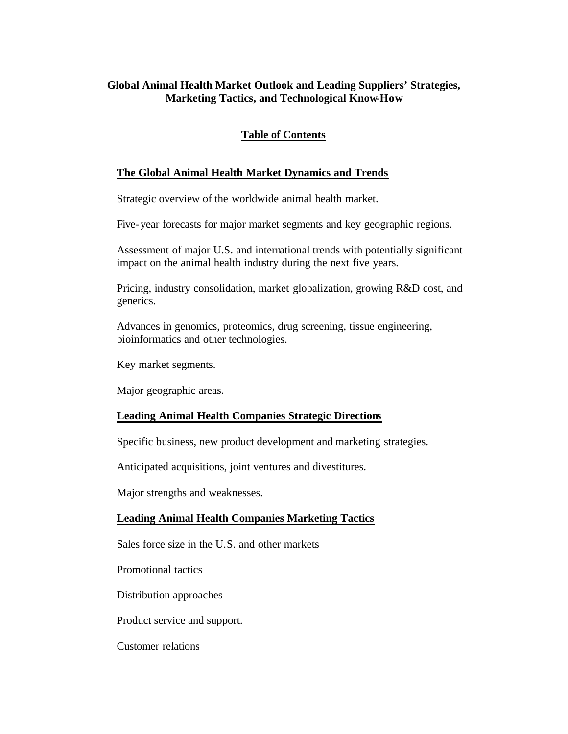## **Global Animal Health Market Outlook and Leading Suppliers' Strategies, Marketing Tactics, and Technological Know-How**

# **Table of Contents**

### **The Global Animal Health Market Dynamics and Trends**

Strategic overview of the worldwide animal health market.

Five-year forecasts for major market segments and key geographic regions.

Assessment of major U.S. and international trends with potentially significant impact on the animal health industry during the next five years.

Pricing, industry consolidation, market globalization, growing R&D cost, and generics.

Advances in genomics, proteomics, drug screening, tissue engineering, bioinformatics and other technologies.

Key market segments.

Major geographic areas.

### **Leading Animal Health Companies Strategic Directions**

Specific business, new product development and marketing strategies.

Anticipated acquisitions, joint ventures and divestitures.

Major strengths and weaknesses.

### **Leading Animal Health Companies Marketing Tactics**

Sales force size in the U.S. and other markets

Promotional tactics

Distribution approaches

Product service and support.

Customer relations